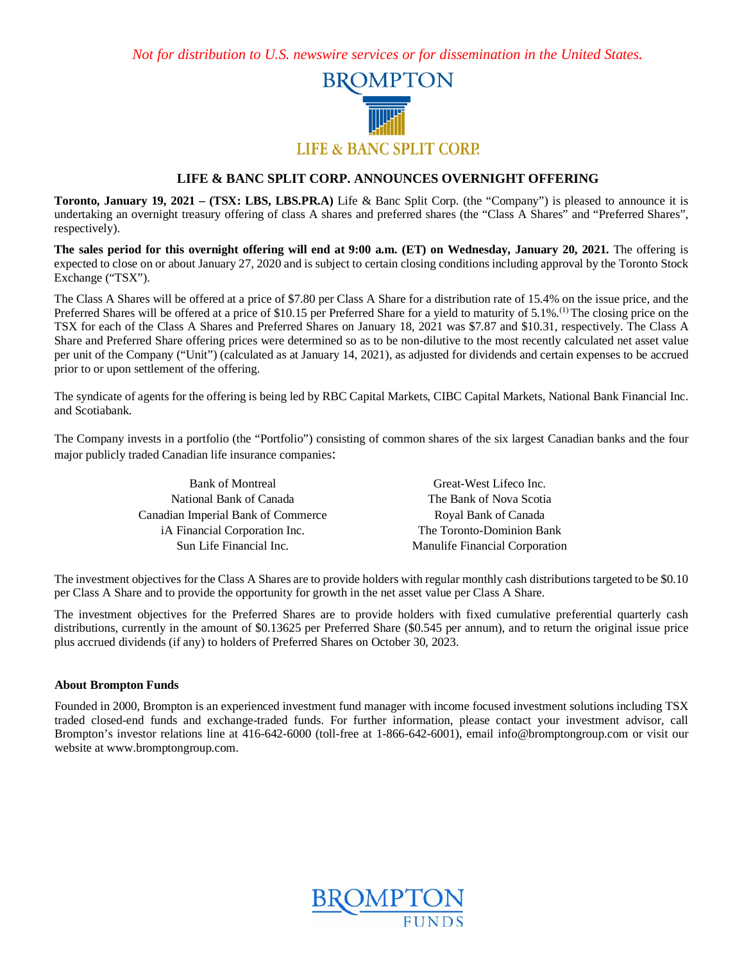*Not for distribution to U.S. newswire services or for dissemination in the United States.*



## **LIFE & BANC SPLIT CORP. ANNOUNCES OVERNIGHT OFFERING**

**Toronto, January 19, 2021 – (TSX: LBS, LBS.PR.A)** Life & Banc Split Corp. (the "Company") is pleased to announce it is undertaking an overnight treasury offering of class A shares and preferred shares (the "Class A Shares" and "Preferred Shares", respectively).

**The sales period for this overnight offering will end at 9:00 a.m. (ET) on Wednesday, January 20, 2021.** The offering is expected to close on or about January 27, 2020 and is subject to certain closing conditions including approval by the Toronto Stock Exchange ("TSX").

The Class A Shares will be offered at a price of \$7.80 per Class A Share for a distribution rate of 15.4% on the issue price, and the Preferred Shares will be offered at a price of \$10.15 per Preferred Share for a yield to maturity of 5.1%.<sup>(1)</sup> The closing price on the TSX for each of the Class A Shares and Preferred Shares on January 18, 2021 was \$7.87 and \$10.31, respectively. The Class A Share and Preferred Share offering prices were determined so as to be non-dilutive to the most recently calculated net asset value per unit of the Company ("Unit") (calculated as at January 14, 2021), as adjusted for dividends and certain expenses to be accrued prior to or upon settlement of the offering.

The syndicate of agents for the offering is being led by RBC Capital Markets, CIBC Capital Markets, National Bank Financial Inc. and Scotiabank.

The Company invests in a portfolio (the "Portfolio") consisting of common shares of the six largest Canadian banks and the four major publicly traded Canadian life insurance companies:

| <b>Bank of Montreal</b>            | Great-West Lifeco Inc.         |
|------------------------------------|--------------------------------|
| National Bank of Canada            | The Bank of Nova Scotia        |
| Canadian Imperial Bank of Commerce | Royal Bank of Canada           |
| iA Financial Corporation Inc.      | The Toronto-Dominion Bank      |
| Sun Life Financial Inc.            | Manulife Financial Corporation |

The investment objectives for the Class A Shares are to provide holders with regular monthly cash distributions targeted to be \$0.10 per Class A Share and to provide the opportunity for growth in the net asset value per Class A Share.

The investment objectives for the Preferred Shares are to provide holders with fixed cumulative preferential quarterly cash distributions, currently in the amount of \$0.13625 per Preferred Share (\$0.545 per annum), and to return the original issue price plus accrued dividends (if any) to holders of Preferred Shares on October 30, 2023.

## **About Brompton Funds**

Founded in 2000, Brompton is an experienced investment fund manager with income focused investment solutions including TSX traded closed-end funds and exchange-traded funds. For further information, please contact your investment advisor, call Brompton's investor relations line at 416-642-6000 (toll-free at 1-866-642-6001), email info@bromptongroup.com or visit our website at www.bromptongroup.com.